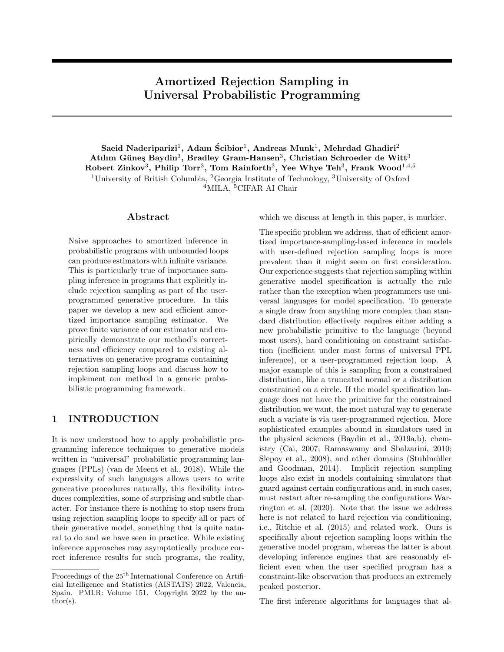# Amortized Rejection Sampling in Universal Probabilistic Programming

Saeid Naderiparizi<sup>1</sup>, Adam Ścibior<sup>1</sup>, Andreas Munk<sup>1</sup>, Mehrdad Ghadiri<sup>2</sup> Atılım Güneş Baydin<sup>3</sup>, Bradley Gram-Hansen<sup>3</sup>, Christian Schroeder de Witt<sup>3</sup> Robert Zinkov $^3$ , Philip Torr $^3$ , Tom Rainforth $^3$ , Yee Whye Teh $^3$ , Frank Wood $^{1,4,5}$ <sup>1</sup>University of British Columbia, <sup>2</sup>Georgia Institute of Technology, <sup>3</sup>University of Oxford <sup>4</sup>MILA, <sup>5</sup>CIFAR AI Chair

### Abstract

Naive approaches to amortized inference in probabilistic programs with unbounded loops can produce estimators with infinite variance. This is particularly true of importance sampling inference in programs that explicitly include rejection sampling as part of the userprogrammed generative procedure. In this paper we develop a new and efficient amortized importance sampling estimator. We prove finite variance of our estimator and empirically demonstrate our method's correctness and efficiency compared to existing alternatives on generative programs containing rejection sampling loops and discuss how to implement our method in a generic probabilistic programming framework.

# 1 INTRODUCTION

It is now understood how to apply probabilistic programming inference techniques to generative models written in "universal" probabilistic programming languages (PPLs) [\(van de Meent et al., 2018\)](#page-9-0). While the expressivity of such languages allows users to write generative procedures naturally, this flexibility introduces complexities, some of surprising and subtle character. For instance there is nothing to stop users from using rejection sampling loops to specify all or part of their generative model, something that is quite natural to do and we have seen in practice. While existing inference approaches may asymptotically produce correct inference results for such programs, the reality, which we discuss at length in this paper, is murkier.

The specific problem we address, that of efficient amortized importance-sampling-based inference in models with user-defined rejection sampling loops is more prevalent than it might seem on first consideration. Our experience suggests that rejection sampling within generative model specification is actually the rule rather than the exception when programmers use universal languages for model specification. To generate a single draw from anything more complex than standard distribution effectively requires either adding a new probabilistic primitive to the language (beyond most users), hard conditioning on constraint satisfaction (inefficient under most forms of universal PPL inference), or a user-programmed rejection loop. A major example of this is sampling from a constrained distribution, like a truncated normal or a distribution constrained on a circle. If the model specification language does not have the primitive for the constrained distribution we want, the most natural way to generate such a variate is via user-programmed rejection. More sophisticated examples abound in simulators used in the physical sciences [\(Baydin et al., 2019a,](#page-8-0)[b\)](#page-8-1), chemistry [\(Cai, 2007;](#page-8-2) [Ramaswamy and Sbalzarini, 2010;](#page-9-1) [Slepoy et al., 2008\)](#page-9-2), and other domains (Stuhlmüller [and Goodman, 2014\)](#page-9-3). Implicit rejection sampling loops also exist in models containing simulators that guard against certain configurations and, in such cases, must restart after re-sampling the configurations [War](#page-9-4)[rington et al.](#page-9-4) [\(2020\)](#page-9-4). Note that the issue we address here is not related to hard rejection via conditioning, i.e., [Ritchie et al.](#page-9-5) [\(2015\)](#page-9-5) and related work. Ours is specifically about rejection sampling loops within the generative model program, whereas the latter is about developing inference engines that are reasonably efficient even when the user specified program has a constraint-like observation that produces an extremely peaked posterior.

The first inference algorithms for languages that al-

Proceedings of the  $25<sup>th</sup>$  International Conference on Artificial Intelligence and Statistics (AISTATS) 2022, Valencia, Spain. PMLR: Volume 151. Copyright 2022 by the author(s).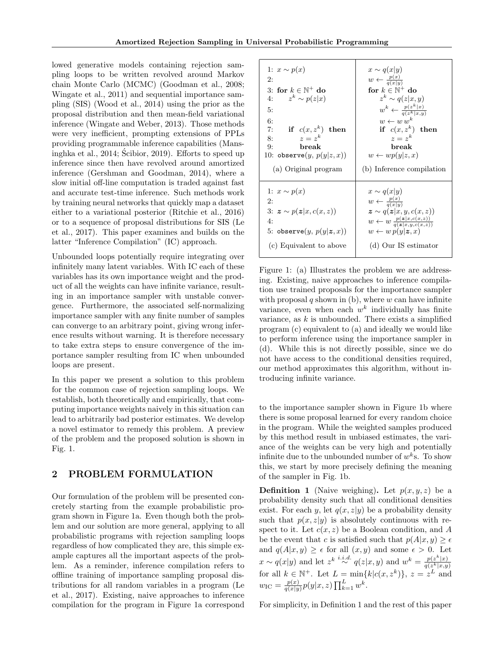lowed generative models containing rejection sampling loops to be written revolved around Markov chain Monte Carlo (MCMC) [\(Goodman et al., 2008;](#page-9-6) [Wingate et al., 2011\)](#page-9-7) and sequential importance sampling (SIS) [\(Wood et al., 2014\)](#page-9-8) using the prior as the proposal distribution and then mean-field variational inference [\(Wingate and Weber, 2013\)](#page-9-9). Those methods were very inefficient, prompting extensions of PPLs providing programmable inference capabilities [\(Mans](#page-9-10)[inghka et al., 2014;](#page-9-10) [Scibior, 2019\)](#page-9-11). Efforts to speed up ´ inference since then have revolved around amortized inference [\(Gershman and Goodman, 2014\)](#page-8-3), where a slow initial off-line computation is traded against fast and accurate test-time inference. Such methods work by training neural networks that quickly map a dataset either to a variational posterior [\(Ritchie et al., 2016\)](#page-9-12) or to a sequence of proposal distributions for SIS [\(Le](#page-9-13) [et al., 2017\)](#page-9-13). This paper examines and builds on the latter "Inference Compilation" (IC) approach.

Unbounded loops potentially require integrating over infinitely many latent variables. With IC each of these variables has its own importance weight and the product of all the weights can have infinite variance, resulting in an importance sampler with unstable convergence. Furthermore, the associated self-normalizing importance sampler with any finite number of samples can converge to an arbitrary point, giving wrong inference results without warning. It is therefore necessary to take extra steps to ensure convergence of the importance sampler resulting from IC when unbounded loops are present.

In this paper we present a solution to this problem for the common case of rejection sampling loops. We establish, both theoretically and empirically, that computing importance weights naively in this situation can lead to arbitrarily bad posterior estimates. We develop a novel estimator to remedy this problem. A preview of the problem and the proposed solution is shown in Fig. [1.](#page-1-0)

# 2 PROBLEM FORMULATION

Our formulation of the problem will be presented concretely starting from the example probabilistic program shown in Figure [1a.](#page-1-0) Even though both the problem and our solution are more general, applying to all probabilistic programs with rejection sampling loops regardless of how complicated they are, this simple example captures all the important aspects of the problem. As a reminder, inference compilation refers to offline training of importance sampling proposal distributions for all random variables in a program [\(Le](#page-9-13) [et al., 2017\)](#page-9-13). Existing, naive approaches to inference compilation for the program in Figure [1a](#page-1-0) correspond

<span id="page-1-0"></span>

| 1: $x \sim p(x)$<br>2:<br>3: for $k \in \mathbb{N}^+$ do<br>4: $z^k \sim p(z x)$<br>5:<br>6:<br>if $c(x, z^k)$ then<br>7:<br>$z=z^k$<br>8:<br>break<br>9:<br>10: observe $(y, p(y z, x))$<br>(a) Original program | $x \sim q(x y)$<br>$w \leftarrow \frac{p(x)}{q(x n)}$<br>for $k \in \mathbb{N}^+$ do<br>$z^k \sim q(z x,y)$<br>$w^k \leftarrow \frac{p(z^k x)}{q(z^k x,y)}$<br>$w \leftarrow w w^k$<br>if $c(x, z^k)$ then<br>$z = z^k$<br>break<br>$w \leftarrow wp(y z, x)$<br>(b) Inference compilation |
|-------------------------------------------------------------------------------------------------------------------------------------------------------------------------------------------------------------------|--------------------------------------------------------------------------------------------------------------------------------------------------------------------------------------------------------------------------------------------------------------------------------------------|
| 1: $x \sim p(x)$                                                                                                                                                                                                  | $x \sim q(x y)$                                                                                                                                                                                                                                                                            |
| 2:                                                                                                                                                                                                                | $w \leftarrow \frac{p(x)}{q(x y)}$                                                                                                                                                                                                                                                         |
| 3: $z \sim p(z x, c(x, z))$                                                                                                                                                                                       | $\boldsymbol{z} \sim q(\boldsymbol{z} x,y,c(x,z))$                                                                                                                                                                                                                                         |
| 4:                                                                                                                                                                                                                | $w \leftarrow w \frac{p(z x,c(x,z))}{q(z x u,c(x,z))}$                                                                                                                                                                                                                                     |
| 5: observe $(y, p(y z, x))$                                                                                                                                                                                       | $w \leftarrow w p(y \boldsymbol{z},x)$                                                                                                                                                                                                                                                     |
| (c) Equivalent to above                                                                                                                                                                                           | (d) Our IS estimator                                                                                                                                                                                                                                                                       |

Figure 1: [\(a\)](#page-1-0) Illustrates the problem we are addressing. Existing, naive approaches to inference compilation use trained proposals for the importance sampler with proposal q shown in [\(b\)](#page-1-0), where  $w$  can have infinite variance, even when each  $w^k$  individually has finite variance, as  $k$  is unbounded. There exists a simplified program [\(c\)](#page-1-0) equivalent to [\(a\)](#page-1-0) and ideally we would like to perform inference using the importance sampler in [\(d\)](#page-1-0). While this is not directly possible, since we do not have access to the conditional densities required, our method approximates this algorithm, without introducing infinite variance.

to the importance sampler shown in Figure [1b](#page-1-0) where there is some proposal learned for every random choice in the program. While the weighted samples produced by this method result in unbiased estimates, the variance of the weights can be very high and potentially infinite due to the unbounded number of  $w^k$ s. To show this, we start by more precisely defining the meaning of the sampler in Fig. [1b.](#page-1-0)

<span id="page-1-1"></span>**Definition 1** (Naive weighing). Let  $p(x, y, z)$  be a probability density such that all conditional densities exist. For each y, let  $q(x, z|y)$  be a probability density such that  $p(x, z|y)$  is absolutely continuous with respect to it. Let  $c(x, z)$  be a Boolean condition, and A be the event that c is satisfied such that  $p(A|x, y) \ge \epsilon$ and  $q(A|x,y) \geq \epsilon$  for all  $(x, y)$  and some  $\epsilon > 0$ . Let  $x \sim q(x|y)$  and let  $z^k \stackrel{i.i.d.}{\sim} q(z|x, y)$  and  $w^k = \frac{p(z^k|x)}{q(z^k|x, y)}$ <br>for all  $k \in \mathbb{N}^+$ . Let  $L = \min\{k|c(x, z^k)\}, z = z^L$  and  $w_{\rm IC} = \frac{p(x)}{q(x)y}$  $\frac{p(x)}{q(x|y)}p(y|x,z)\prod_{k=1}^{L}w^{k}.$ 

For simplicity, in Definition [1](#page-1-1) and the rest of this paper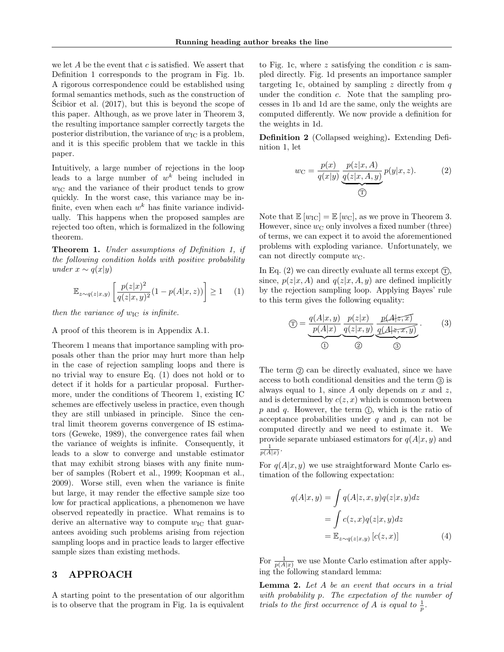we let A be the event that  $c$  is satisfied. We assert that Definition [1](#page-1-1) corresponds to the program in Fig. [1b.](#page-1-0) A rigorous correspondence could be established using formal semantics methods, such as the construction of [Scibior et al.](#page-9-14)  $(2017)$ , but this is beyond the scope of this paper. Although, as we prove later in Theorem [3,](#page-3-0) the resulting importance sampler correctly targets the posterior distribution, the variance of  $w_{\text{IC}}$  is a problem, and it is this specific problem that we tackle in this paper.

Intuitively, a large number of rejections in the loop leads to a large number of  $w^k$  being included in  $w_{\text{IC}}$  and the variance of their product tends to grow quickly. In the worst case, this variance may be infinite, even when each  $w^k$  has finite variance individually. This happens when the proposed samples are rejected too often, which is formalized in the following theorem.

<span id="page-2-0"></span>Theorem 1. Under assumptions of Definition [1,](#page-1-1) if the following condition holds with positive probability under  $x \sim q(x|y)$ 

<span id="page-2-1"></span>
$$
\mathbb{E}_{z \sim q(z|x,y)} \left[ \frac{p(z|x)^2}{q(z|x,y)^2} (1 - p(A|x,z)) \right] \ge 1 \quad (1)
$$

then the variance of  $w_{\text{IC}}$  is infinite.

#### A proof of this theorem is in Appendix [A.1.](#page-10-0)

Theorem [1](#page-2-0) means that importance sampling with proposals other than the prior may hurt more than help in the case of rejection sampling loops and there is no trivial way to ensure Eq. [\(1\)](#page-2-1) does not hold or to detect if it holds for a particular proposal. Furthermore, under the conditions of Theorem [1,](#page-2-0) existing IC schemes are effectively useless in practice, even though they are still unbiased in principle. Since the central limit theorem governs convergence of IS estimators [\(Geweke, 1989\)](#page-8-4), the convergence rates fail when the variance of weights is infinite. Consequently, it leads to a slow to converge and unstable estimator that may exhibit strong biases with any finite number of samples [\(Robert et al., 1999;](#page-9-15) [Koopman et al.,](#page-9-16) [2009\)](#page-9-16). Worse still, even when the variance is finite but large, it may render the effective sample size too low for practical applications, a phenomenon we have observed repeatedly in practice. What remains is to derive an alternative way to compute  $w_{\text{IC}}$  that guarantees avoiding such problems arising from rejection sampling loops and in practice leads to larger effective sample sizes than existing methods.

# 3 APPROACH

A starting point to the presentation of our algorithm is to observe that the program in Fig. [1a](#page-1-0) is equivalent

to Fig. [1c,](#page-1-0) where z satisfying the condition c is sampled directly. Fig. [1d](#page-1-0) presents an importance sampler targeting [1c,](#page-1-0) obtained by sampling z directly from  $q$ under the condition  $c$ . Note that the sampling processes in [1b](#page-1-0) and [1d](#page-1-0) are the same, only the weights are computed differently. We now provide a definition for the weights in [1d.](#page-1-0)

<span id="page-2-6"></span>Definition 2 (Collapsed weighing). Extending Definition [1,](#page-1-1) let

<span id="page-2-2"></span>
$$
w_{\mathcal{C}} = \frac{p(x)}{q(x|y)} \underbrace{\frac{p(z|x,A)}{q(z|x,A,y)}}_{\text{(T)}} p(y|x,z). \tag{2}
$$

Note that  $\mathbb{E}[w_{\text{IC}}] = \mathbb{E}[w_{\text{C}}]$ , as we prove in Theorem [3.](#page-3-0) However, since  $w_C$  only involves a fixed number (three) of terms, we can expect it to avoid the aforementioned problems with exploding variance. Unfortunately, we can not directly compute  $w_{\text{C}}$ .

In Eq.  $(2)$  we can directly evaluate all terms except  $(\hat{T})$ , since,  $p(z|x, A)$  and  $q(z|x, A, y)$  are defined implicitly by the rejection sampling loop. Applying Bayes' rule to this term gives the following equality:

<span id="page-2-5"></span>
$$
\textcircled{T} = \underbrace{\frac{q(A|x,y)}{p(A|x)}}_{\textcircled{1}} \underbrace{\frac{p(z|x)}{q(z|x,y)}}_{\textcircled{2}} \underbrace{\frac{p(A|z,x)}{q(A|z,x,y)}}_{\textcircled{3}}.
$$
\n(3)

The term  $\circled{2}$  can be directly evaluated, since we have access to both conditional densities and the term  $\circled{3}$  is always equal to 1, since  $A$  only depends on  $x$  and  $z$ , and is determined by  $c(z, x)$  which is common between p and q. However, the term  $(1)$ , which is the ratio of acceptance probabilities under  $q$  and  $p$ , can not be computed directly and we need to estimate it. We provide separate unbiased estimators for  $q(A|x, y)$  and  $\frac{1}{p(A|x)}$ .

For  $q(A|x, y)$  we use straightforward Monte Carlo estimation of the following expectation:

<span id="page-2-3"></span>
$$
q(A|x,y) = \int q(A|z,x,y)q(z|x,y)dz
$$

$$
= \int c(z,x)q(z|x,y)dz
$$

$$
= \mathbb{E}_{z \sim q(z|x,y)} [c(z,x)] \tag{4}
$$

For  $\frac{1}{p(A|x)}$  we use Monte Carlo estimation after applying the following standard lemma:

<span id="page-2-4"></span>Lemma 2. Let A be an event that occurs in a trial with probability p. The expectation of the number of trials to the first occurrence of A is equal to  $\frac{1}{p}$ .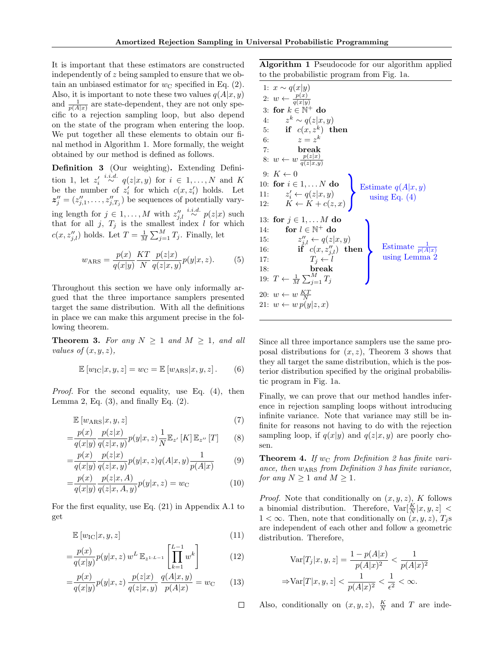It is important that these estimators are constructed independently of z being sampled to ensure that we obtain an unbiased estimator for  $w<sub>C</sub>$  specified in Eq. [\(2\)](#page-2-2). Also, it is important to note these two values  $q(A|x, y)$ and  $\frac{1}{p(A|x)}$  are state-dependent, they are not only specific to a rejection sampling loop, but also depend on the state of the program when entering the loop. We put together all these elements to obtain our final method in Algorithm [1.](#page-3-1) More formally, the weight obtained by our method is defined as follows.

<span id="page-3-2"></span>Definition 3 (Our weighting). Extending Defini-tion [1,](#page-1-1) let  $z_i' \stackrel{i.i.d.}{\sim} q(z|x,y)$  for  $i \in 1,\ldots,N$  and K be the number of  $z_i'$  for which  $c(x, z_i')$  holds. Let  $z''_j = (z''_{j,1}, \ldots, z''_{j,T_j})$  be sequences of potentially varying length for  $j \in 1, ..., M$  with  $z''_{j,l} \stackrel{i.i.d.}{\sim} p(z|x)$  such that for all  $j$ ,  $T_j$  is the smallest index l for which  $c(x, z''_{j,l})$  holds. Let  $T = \frac{1}{M} \sum_{j=1}^{M} T_j$ . Finally, let

$$
w_{\text{ARS}} = \frac{p(x)}{q(x|y)} \frac{KT}{N} \frac{p(z|x)}{q(z|x,y)} p(y|x,z).
$$
 (5)

Throughout this section we have only informally argued that the three importance samplers presented target the same distribution. With all the definitions in place we can make this argument precise in the following theorem.

<span id="page-3-0"></span>**Theorem 3.** For any  $N \geq 1$  and  $M \geq 1$ , and all values of  $(x, y, z)$ ,

$$
\mathbb{E}\left[w_{\rm IC}|x,y,z\right] = w_{\rm C} = \mathbb{E}\left[w_{\rm ARS}|x,y,z\right].\qquad (6)
$$

Proof. For the second equality, use Eq. [\(4\)](#page-2-3), then Lemma [2,](#page-2-4) Eq.  $(3)$ , and finally Eq.  $(2)$ .

$$
\mathbb{E}\left[w_{\text{ARS}}|x, y, z\right] \tag{7}
$$

$$
= \frac{p(x)}{q(x|y)} \frac{p(z|x)}{q(z|x,y)} p(y|x,z) \frac{1}{N} \mathbb{E}_{z'} [K] \mathbb{E}_{z''} [T] \qquad (8)
$$

$$
=\frac{p(x)}{q(x|y)}\frac{p(z|x)}{q(z|x,y)}p(y|x,z)q(A|x,y)\frac{1}{p(A|x)}\qquad(9)
$$

$$
= \frac{p(x)}{q(x|y)} \frac{p(z|x,A)}{q(z|x,A,y)} p(y|x,z) = w_{\rm C}
$$
 (10)

For the first equality, use Eq. [\(21\)](#page-11-0) in Appendix [A.1](#page-10-0) to get

$$
\mathbb{E}\left[w_{\rm IC}|x,y,z\right] \tag{11}
$$

$$
= \frac{p(x)}{q(x|y)} p(y|x, z) w^{L} \mathbb{E}_{z^{1:L-1}} \left[ \prod_{k=1}^{L-1} w^{k} \right]
$$
(12)

$$
= \frac{p(x)}{q(x|y)} p(y|x, z) \frac{p(z|x)}{q(z|x, y)} \frac{q(A|x, y)}{p(A|x)} = w_{\text{C}} \qquad (13)
$$

 $\Box$ 

<span id="page-3-1"></span>Algorithm 1 Pseudocode for our algorithm applied to the probabilistic program from Fig. [1a.](#page-1-0)

1: 
$$
x \sim q(x|y)
$$
  
\n2:  $w \leftarrow \frac{p(x)}{q(x|y)}$   
\n3: for  $k \in \mathbb{N}^+$  do  
\n4:  $z^k \sim q(z|x, y)$   
\n5: if  $c(x, z^k)$  then  
\n6:  $z = z^k$   
\n7: break  
\n8:  $w \leftarrow w \frac{p(z|x)}{q(z|x,y)}$   
\n9:  $K \leftarrow 0$   
\n10: for  $i \in 1, \ldots N$  do  
\n11:  $z'_i \leftarrow q(z|x, y)$   
\n12:  $K \leftarrow K + c(z, x)$   
\n13: for  $j \in 1, \ldots M$  do  
\n14: for  $l \in \mathbb{N}^+$  do  
\n15:  $z''_{j,l} \leftarrow q(z|x, y)$   
\n16: if  $c(x, z''_{j,l})$  then  
\n17:  $T_j \leftarrow l$   
\n18: break  
\n19:  $T \leftarrow \frac{1}{M} \sum_{j=1}^{M} T_j$   
\n20:  $w \leftarrow w \frac{KT}{N}$   
\n21:  $w \leftarrow w p(y|z, x)$ 

Since all three importance samplers use the same proposal distributions for  $(x, z)$ , Theorem [3](#page-3-0) shows that they all target the same distribution, which is the posterior distribution specified by the original probabilistic program in Fig. [1a.](#page-1-0)

Finally, we can prove that our method handles inference in rejection sampling loops without introducing infinite variance. Note that variance may still be infinite for reasons not having to do with the rejection sampling loop, if  $q(x|y)$  and  $q(z|x, y)$  are poorly chosen.

**Theorem 4.** If w<sub>C</sub> from Definition [2](#page-2-6) has finite variance, then  $w_{\text{ARS}}$  from Definition [3](#page-3-2) has finite variance, for any  $N \geq 1$  and  $M \geq 1$ .

*Proof.* Note that conditionally on  $(x, y, z)$ , K follows a binomial distribution. Therefore,  $Var[\frac{K}{N}|x, y, z]$  <  $1 < \infty$ . Then, note that conditionally on  $(x, y, z)$ ,  $T_i$ s are independent of each other and follow a geometric distribution. Therefore,

$$
\text{Var}[T_j|x, y, z] = \frac{1 - p(A|x)}{p(A|x)^2} < \frac{1}{p(A|x)^2}
$$
\n
$$
\Rightarrow \text{Var}[T|x, y, z] < \frac{1}{p(A|x)^2} < \frac{1}{\epsilon^2} < \infty.
$$

Also, conditionally on  $(x, y, z)$ ,  $\frac{K}{N}$  and T are inde-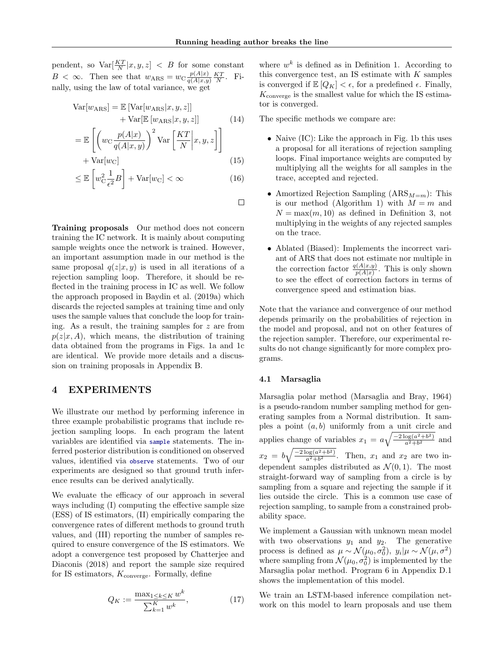pendent, so  $Var[\frac{KT}{N}|x,y,z] < B$  for some constant  $B < \infty$ . Then see that  $w_{\text{ARS}} = w_{\text{C}} \frac{p(A|x)}{q(A|x,y)}$  $\frac{p(A|x)}{q(A|x,y)} \frac{KT}{N}$ . Finally, using the law of total variance, we get

$$
Var[wARS] = \mathbb{E} [Var[wARS|x, y, z]]
$$
  
+ 
$$
Var[\mathbb{E}[wARS|x, y, z]]
$$
  

$$
[(p0(A|x))2 [KT] 1]
$$
 (14)

$$
= \mathbb{E}\left[\left(w_C \frac{p(A|x)}{q(A|x,y)}\right)^2 \text{Var}\left[\frac{KT}{N}\middle|x,y,z\right]\right] + \text{Var}[w_C]
$$
\n(15)

$$
\leq \mathbb{E}\left[w_{\mathrm{C}}^2 \frac{1}{\epsilon^2} B\right] + \text{Var}[w_{\mathrm{C}}] < \infty \tag{16}
$$

 $\Box$ 

Training proposals Our method does not concern training the IC network. It is mainly about computing sample weights once the network is trained. However, an important assumption made in our method is the same proposal  $q(z|x, y)$  is used in all iterations of a rejection sampling loop. Therefore, it should be reflected in the training process in IC as well. We follow the approach proposed in [Baydin et al.](#page-8-0) [\(2019a\)](#page-8-0) which discards the rejected samples at training time and only uses the sample values that conclude the loop for training. As a result, the training samples for z are from  $p(z|x, A)$ , which means, the distribution of training data obtained from the programs in Figs. [1a](#page-1-0) and [1c](#page-1-0) are identical. We provide more details and a discussion on training proposals in Appendix [B.](#page-11-1)

### <span id="page-4-0"></span>4 EXPERIMENTS

We illustrate our method by performing inference in three example probabilistic programs that include rejection sampling loops. In each program the latent variables are identified via sample statements. The inferred posterior distribution is conditioned on observed values, identified via observe statements. Two of our experiments are designed so that ground truth inference results can be derived analytically.

We evaluate the efficacy of our approach in several ways including (I) computing the effective sample size (ESS) of IS estimators, (II) empirically comparing the convergence rates of different methods to ground truth values, and (III) reporting the number of samples required to ensure convergence of the IS estimators. We adopt a convergence test proposed by [Chatterjee and](#page-8-5) [Diaconis](#page-8-5) [\(2018\)](#page-8-5) and report the sample size required for IS estimators,  $K_{\text{converge}}$ . Formally, define

$$
Q_K := \frac{\max_{1 \le k \le K} w^k}{\sum_{k=1}^K w^k},\tag{17}
$$

where  $w^k$  is defined as in Definition [1.](#page-1-1) According to this convergence test, an IS estimate with  $K$  samples is converged if  $\mathbb{E}[Q_K] < \epsilon$ , for a predefined  $\epsilon$ . Finally,  $K_{\text{converge}}$  is the smallest value for which the IS estimator is converged.

The specific methods we compare are:

- Naive (IC): Like the approach in Fig. [1b](#page-1-0) this uses a proposal for all iterations of rejection sampling loops. Final importance weights are computed by multiplying all the weights for all samples in the trace, accepted and rejected.
- Amortized Rejection Sampling  $(ARS_{M=m})$ : This is our method (Algorithm [1\)](#page-3-1) with  $M = m$  and  $N = \max(m, 10)$  as defined in Definition [3,](#page-3-2) not multiplying in the weights of any rejected samples on the trace.
- Ablated (Biased): Implements the incorrect variant of ARS that does not estimate nor multiple in the correction factor  $\frac{q(A|x,y)}{p(A|x)}$ . This is only shown to see the effect of correction factors in terms of convergence speed and estimation bias.

Note that the variance and convergence of our method depends primarily on the probabilities of rejection in the model and proposal, and not on other features of the rejection sampler. Therefore, our experimental results do not change significantly for more complex programs.

## 4.1 Marsaglia

Marsaglia polar method [\(Marsaglia and Bray, 1964\)](#page-9-17) is a pseudo-random number sampling method for generating samples from a Normal distribution. It samples a point  $(a, b)$  uniformly from a unit circle and applies change of variables  $x_1 = a \sqrt{\frac{-2 \log(a^2 + b^2)}{a^2 + b^2}}$  $\frac{\log(a^2+b^2)}{a^2+b^2}$  and  $x_2 = b \sqrt{\frac{-2 \log(a^2 + b^2)}{a^2 + b^2}}$  $\frac{\log(a^2+b^2)}{a^2+b^2}$ . Then,  $x_1$  and  $x_2$  are two independent samples distributed as  $\mathcal{N}(0, 1)$ . The most straight-forward way of sampling from a circle is by sampling from a square and rejecting the sample if it lies outside the circle. This is a common use case of rejection sampling, to sample from a constrained probability space.

We implement a Gaussian with unknown mean model with two observations  $y_1$  and  $y_2$ . The generative process is defined as  $\mu \sim \mathcal{N}(\mu_0, \sigma_0^2)$ ,  $y_i | \mu \sim \mathcal{N}(\mu, \sigma^2)$ where sampling from  $\mathcal{N}(\mu_0, \sigma_0^2)$  is implemented by the Marsaglia polar method. Program [6](#page-16-0) in Appendix [D.1](#page-15-0) shows the implementation of this model.

We train an LSTM-based inference compilation network on this model to learn proposals and use them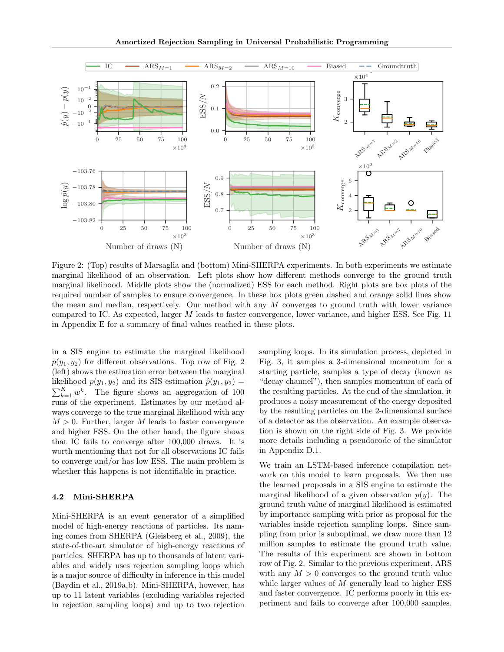<span id="page-5-0"></span>

Figure 2: (Top) results of Marsaglia and (bottom) Mini-SHERPA experiments. In both experiments we estimate marginal likelihood of an observation. Left plots show how different methods converge to the ground truth marginal likelihood. Middle plots show the (normalized) ESS for each method. Right plots are box plots of the required number of samples to ensure convergence. In these box plots green dashed and orange solid lines show the mean and median, respectively. Our method with any  $M$  converges to ground truth with lower variance compared to IC. As expected, larger M leads to faster convergence, lower variance, and higher ESS. See Fig. [11](#page-20-0) in Appendix [E](#page-19-0) for a summary of final values reached in these plots.

in a SIS engine to estimate the marginal likelihood  $p(y_1, y_2)$  for different observations. Top row of Fig. [2](#page-5-0) (left) shows the estimation error between the marginal likelihood  $p(y_1, y_2)$  and its SIS estimation  $\hat{p}(y_1, y_2)$  =  $\sum_{k=1}^{K} w^k$ . The figure shows an aggregation of 100 runs of the experiment. Estimates by our method always converge to the true marginal likelihood with any  $M > 0$ . Further, larger M leads to faster convergence and higher ESS. On the other hand, the figure shows that IC fails to converge after 100,000 draws. It is worth mentioning that not for all observations IC fails to converge and/or has low ESS. The main problem is whether this happens is not identifiable in practice.

### 4.2 Mini-SHERPA

Mini-SHERPA is an event generator of a simplified model of high-energy reactions of particles. Its naming comes from SHERPA [\(Gleisberg et al., 2009\)](#page-9-18), the state-of-the-art simulator of high-energy reactions of particles. SHERPA has up to thousands of latent variables and widely uses rejection sampling loops which is a major source of difficulty in inference in this model [\(Baydin et al., 2019a,](#page-8-0)[b\)](#page-8-1). Mini-SHERPA, however, has up to 11 latent variables (excluding variables rejected in rejection sampling loops) and up to two rejection sampling loops. In its simulation process, depicted in Fig. [3,](#page-6-0) it samples a 3-dimensional momentum for a starting particle, samples a type of decay (known as "decay channel"), then samples momentum of each of the resulting particles. At the end of the simulation, it produces a noisy measurement of the energy deposited by the resulting particles on the 2-dimensional surface of a detector as the observation. An example observation is shown on the right side of Fig. [3.](#page-6-0) We provide more details including a pseudocode of the simulator in Appendix [D.1.](#page-15-0)

We train an LSTM-based inference compilation network on this model to learn proposals. We then use the learned proposals in a SIS engine to estimate the marginal likelihood of a given observation  $p(y)$ . The ground truth value of marginal likelihood is estimated by importance sampling with prior as proposal for the variables inside rejection sampling loops. Since sampling from prior is suboptimal, we draw more than 12 million samples to estimate the ground truth value. The results of this experiment are shown in bottom row of Fig. [2.](#page-5-0) Similar to the previous experiment, ARS with any  $M > 0$  converges to the ground truth value while larger values of  $M$  generally lead to higher ESS and faster convergence. IC performs poorly in this experiment and fails to converge after 100,000 samples.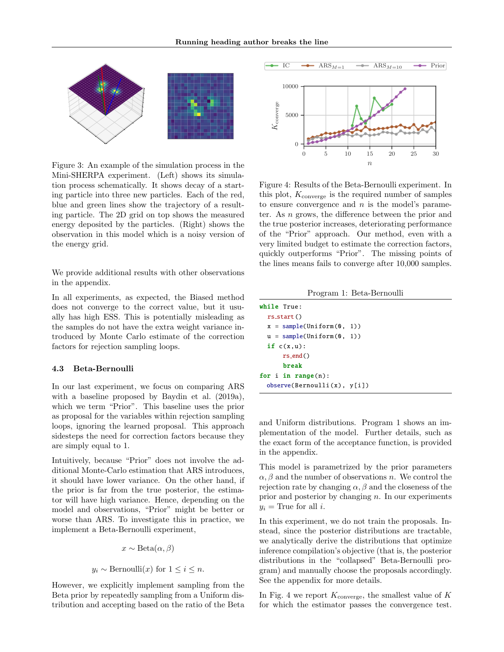<span id="page-6-0"></span>

Figure 3: An example of the simulation process in the Mini-SHERPA experiment. (Left) shows its simulation process schematically. It shows decay of a starting particle into three new particles. Each of the red, blue and green lines show the trajectory of a resulting particle. The 2D grid on top shows the measured energy deposited by the particles. (Right) shows the observation in this model which is a noisy version of the energy grid.

We provide additional results with other observations in the appendix.

In all experiments, as expected, the Biased method does not converge to the correct value, but it usually has high ESS. This is potentially misleading as the samples do not have the extra weight variance introduced by Monte Carlo estimate of the correction factors for rejection sampling loops.

#### 4.3 Beta-Bernoulli

In our last experiment, we focus on comparing ARS with a baseline proposed by [Baydin et al.](#page-8-0) [\(2019a\)](#page-8-0), which we term "Prior". This baseline uses the prior as proposal for the variables within rejection sampling loops, ignoring the learned proposal. This approach sidesteps the need for correction factors because they are simply equal to 1.

Intuitively, because "Prior" does not involve the additional Monte-Carlo estimation that ARS introduces, it should have lower variance. On the other hand, if the prior is far from the true posterior, the estimator will have high variance. Hence, depending on the model and observations, "Prior" might be better or worse than ARS. To investigate this in practice, we implement a Beta-Bernoulli experiment,

$$
x \sim \text{Beta}(\alpha, \beta)
$$

$$
y_i \sim \text{Bernoulli}(x) \text{ for } 1 \leq i \leq n.
$$

However, we explicitly implement sampling from the Beta prior by repeatedly sampling from a Uniform distribution and accepting based on the ratio of the Beta

<span id="page-6-2"></span>

Figure 4: Results of the Beta-Bernoulli experiment. In this plot,  $K_{\text{converge}}$  is the required number of samples to ensure convergence and  $n$  is the model's parameter. As n grows, the difference between the prior and the true posterior increases, deteriorating performance of the "Prior" approach. Our method, even with a very limited budget to estimate the correction factors, quickly outperforms "Prior". The missing points of the lines means fails to converge after 10,000 samples.

Program 1: Beta-Bernoulli

<span id="page-6-1"></span>

| while True:                 |  |
|-----------------------------|--|
| $rs_$ $start()$             |  |
| $x = sample(Uniform(0, 1))$ |  |
| $u = sample(Uniform(0, 1))$ |  |
| if $c(x, u)$ :              |  |
| $rs$ end $()$               |  |
| break                       |  |
| for $i$ in range $(n)$ :    |  |
| observe(Bernoulli(x), y[i]) |  |

and Uniform distributions. Program [1](#page-6-1) shows an implementation of the model. Further details, such as the exact form of the acceptance function, is provided in the appendix.

This model is parametrized by the prior parameters  $\alpha, \beta$  and the number of observations n. We control the rejection rate by changing  $\alpha$ ,  $\beta$  and the closeness of the prior and posterior by changing  $n$ . In our experiments  $y_i$  = True for all *i*.

In this experiment, we do not train the proposals. Instead, since the posterior distributions are tractable, we analytically derive the distributions that optimize inference compilation's objective (that is, the posterior distributions in the "collapsed" Beta-Bernoulli program) and manually choose the proposals accordingly. See the appendix for more details.

In Fig. [4](#page-6-2) we report  $K_{\text{converge}}$ , the smallest value of  $K$ for which the estimator passes the convergence test.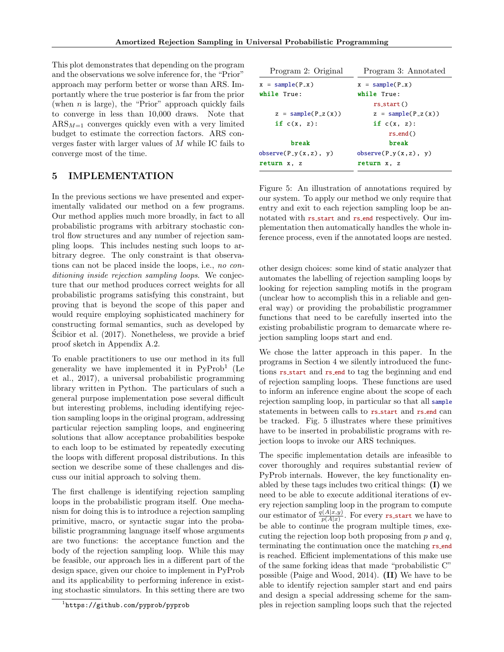This plot demonstrates that depending on the program and the observations we solve inference for, the "Prior" approach may perform better or worse than ARS. Importantly where the true posterior is far from the prior (when  $n$  is large), the "Prior" approach quickly fails to converge in less than 10,000 draws. Note that  $\text{ARS}_{M=1}$  converges quickly even with a very limited budget to estimate the correction factors. ARS converges faster with larger values of M while IC fails to converge most of the time.

# 5 IMPLEMENTATION

In the previous sections we have presented and experimentally validated our method on a few programs. Our method applies much more broadly, in fact to all probabilistic programs with arbitrary stochastic control flow structures and any number of rejection sampling loops. This includes nesting such loops to arbitrary degree. The only constraint is that observations can not be placed inside the loops, i.e., no conditioning inside rejection sampling loops. We conjecture that our method produces correct weights for all probabilistic programs satisfying this constraint, but proving that is beyond the scope of this paper and would require employing sophisticated machinery for constructing formal semantics, such as developed by [Scibior et al.](#page-9-14)  $(2017)$ . Nonetheless, we provide a brief proof sketch in Appendix [A.2.](#page-11-2)

To enable practitioners to use our method in its full generality we have implemented it in PyProb<sup>[1](#page-7-0)</sup> [\(Le](#page-9-13) [et al., 2017\)](#page-9-13), a universal probabilistic programming library written in Python. The particulars of such a general purpose implementation pose several difficult but interesting problems, including identifying rejection sampling loops in the original program, addressing particular rejection sampling loops, and engineering solutions that allow acceptance probabilities bespoke to each loop to be estimated by repeatedly executing the loops with different proposal distributions. In this section we describe some of these challenges and discuss our initial approach to solving them.

The first challenge is identifying rejection sampling loops in the probabilistic program itself. One mechanism for doing this is to introduce a rejection sampling primitive, macro, or syntactic sugar into the probabilistic programming language itself whose arguments are two functions: the acceptance function and the body of the rejection sampling loop. While this may be feasible, our approach lies in a different part of the design space, given our choice to implement in PyProb and its applicability to performing inference in existing stochastic simulators. In this setting there are two

<span id="page-7-1"></span>

| Program 2: Original     | Program 3: Annotated    |  |  |  |
|-------------------------|-------------------------|--|--|--|
| $x = sample(P_x)$       | $x = sample(P_x)$       |  |  |  |
| while True:             | while True:             |  |  |  |
|                         | $rs_start()$            |  |  |  |
| $z = sample(P_z(x))$    | $z = sample(P_z(x))$    |  |  |  |
| if $c(x, z)$ :          | if $c(x, z)$ :          |  |  |  |
|                         | $rs$ -end()             |  |  |  |
| break                   | break                   |  |  |  |
| $observe(P_y(x, z), y)$ | $observe(P_y(x, z), y)$ |  |  |  |
| return x, z             | return x, z             |  |  |  |
|                         |                         |  |  |  |

Figure 5: An illustration of annotations required by our system. To apply our method we only require that entry and exit to each rejection sampling loop be annotated with rs start and rs end respectively. Our implementation then automatically handles the whole inference process, even if the annotated loops are nested.

other design choices: some kind of static analyzer that automates the labelling of rejection sampling loops by looking for rejection sampling motifs in the program (unclear how to accomplish this in a reliable and general way) or providing the probabilistic programmer functions that need to be carefully inserted into the existing probabilistic program to demarcate where rejection sampling loops start and end.

We chose the latter approach in this paper. In the programs in Section [4](#page-4-0) we silently introduced the functions rs start and rs end to tag the beginning and end of rejection sampling loops. These functions are used to inform an inference engine about the scope of each rejection sampling loop, in particular so that all sample statements in between calls to rs start and rs end can be tracked. Fig. [5](#page-7-1) illustrates where these primitives have to be inserted in probabilistic programs with rejection loops to invoke our ARS techniques.

The specific implementation details are infeasible to cover thoroughly and requires substantial review of PyProb internals. However, the key functionality enabled by these tags includes two critical things: (I) we need to be able to execute additional iterations of every rejection sampling loop in the program to compute our estimator of  $\frac{q(A|x,y)}{p(A|x)}$ . For every rs start we have to be able to continue the program multiple times, executing the rejection loop both proposing from  $p$  and  $q$ , terminating the continuation once the matching rs end is reached. Efficient implementations of this make use of the same forking ideas that made "probabilistic C" possible [\(Paige and Wood, 2014\)](#page-9-19). (II) We have to be able to identify rejection sampler start and end pairs and design a special addressing scheme for the samples in rejection sampling loops such that the rejected

<span id="page-7-0"></span><sup>1</sup> <https://github.com/pyprob/pyprob>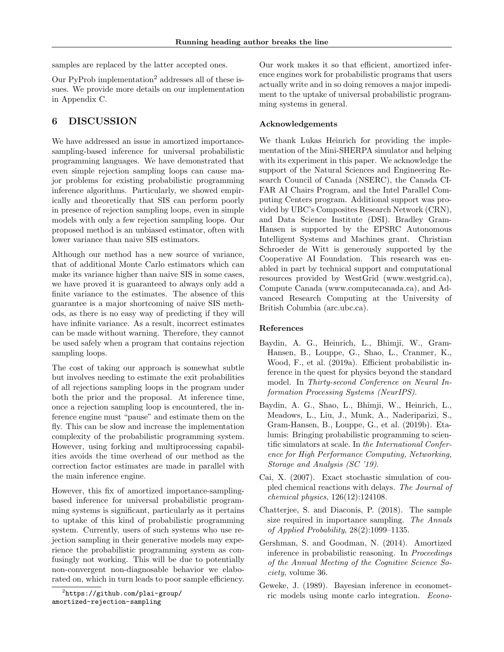samples are replaced by the latter accepted ones.

Our PyProb implementation[2](#page-8-6) addresses all of these issues. We provide more details on our implementation in Appendix [C.](#page-14-0)

# 6 DISCUSSION

We have addressed an issue in amortized importancesampling-based inference for universal probabilistic programming languages. We have demonstrated that even simple rejection sampling loops can cause major problems for existing probabilistic programming inference algorithms. Particularly, we showed empirically and theoretically that SIS can perform poorly in presence of rejection sampling loops, even in simple models with only a few rejection sampling loops. Our proposed method is an unbiased estimator, often with lower variance than naive SIS estimators.

Although our method has a new source of variance, that of additional Monte Carlo estimators which can make its variance higher than naive SIS in some cases, we have proved it is guaranteed to always only add a finite variance to the estimates. The absence of this guarantee is a major shortcoming of naive SIS methods, as there is no easy way of predicting if they will have infinite variance. As a result, incorrect estimates can be made without warning. Therefore, they cannot be used safely when a program that contains rejection sampling loops.

The cost of taking our approach is somewhat subtle but involves needing to estimate the exit probabilities of all rejections sampling loops in the program under both the prior and the proposal. At inference time, once a rejection sampling loop is encountered, the inference engine must "pause" and estimate them on the fly. This can be slow and increase the implementation complexity of the probabilistic programming system. However, using forking and multiprocessing capabilities avoids the time overhead of our method as the correction factor estimates are made in parallel with the main inference engine.

However, this fix of amortized importance-samplingbased inference for universal probabilistic programming systems is significant, particularly as it pertains to uptake of this kind of probabilistic programming system. Currently, users of such systems who use rejection sampling in their generative models may experience the probabilistic programming system as confusingly not working. This will be due to potentially non-convergent non-diagnosable behavior we elaborated on, which in turn leads to poor sample efficiency.

Our work makes it so that efficient, amortized inference engines work for probabilistic programs that users actually write and in so doing removes a major impediment to the uptake of universal probabilistic programming systems in general.

### Acknowledgements

We thank Lukas Heinrich for providing the implementation of the Mini-SHERPA simulator and helping with its experiment in this paper. We acknowledge the support of the Natural Sciences and Engineering Research Council of Canada (NSERC), the Canada CI-FAR AI Chairs Program, and the Intel Parallel Computing Centers program. Additional support was provided by UBC's Composites Research Network (CRN), and Data Science Institute (DSI). Bradley Gram-Hansen is supported by the EPSRC Autonomous Intelligent Systems and Machines grant. Christian Schroeder de Witt is generously supported by the Cooperative AI Foundation. This research was enabled in part by technical support and computational resources provided by WestGrid (www.westgrid.ca), Compute Canada (www.computecanada.ca), and Advanced Research Computing at the University of British Columbia (arc.ubc.ca).

### References

- <span id="page-8-0"></span>Baydin, A. G., Heinrich, L., Bhimji, W., Gram-Hansen, B., Louppe, G., Shao, L., Cranmer, K., Wood, F., et al. (2019a). Efficient probabilistic inference in the quest for physics beyond the standard model. In Thirty-second Conference on Neural Information Processing Systems (NeurIPS).
- <span id="page-8-1"></span>Baydin, A. G., Shao, L., Bhimji, W., Heinrich, L., Meadows, L., Liu, J., Munk, A., Naderiparizi, S., Gram-Hansen, B., Louppe, G., et al. (2019b). Etalumis: Bringing probabilistic programming to scientific simulators at scale. In the International Conference for High Performance Computing, Networking, Storage and Analysis (SC '19).
- <span id="page-8-2"></span>Cai, X. (2007). Exact stochastic simulation of coupled chemical reactions with delays. The Journal of chemical physics, 126(12):124108.
- <span id="page-8-5"></span>Chatterjee, S. and Diaconis, P. (2018). The sample size required in importance sampling. The Annals of Applied Probability, 28(2):1099–1135.
- <span id="page-8-3"></span>Gershman, S. and Goodman, N. (2014). Amortized inference in probabilistic reasoning. In Proceedings of the Annual Meeting of the Cognitive Science Society, volume 36.
- <span id="page-8-4"></span>Geweke, J. (1989). Bayesian inference in econometric models using monte carlo integration. Econo-

<span id="page-8-6"></span> $^{2}$ [https://github.com/plai-group/](https://github.com/plai-group/amortized-rejection-sampling) [amortized-rejection-sampling](https://github.com/plai-group/amortized-rejection-sampling)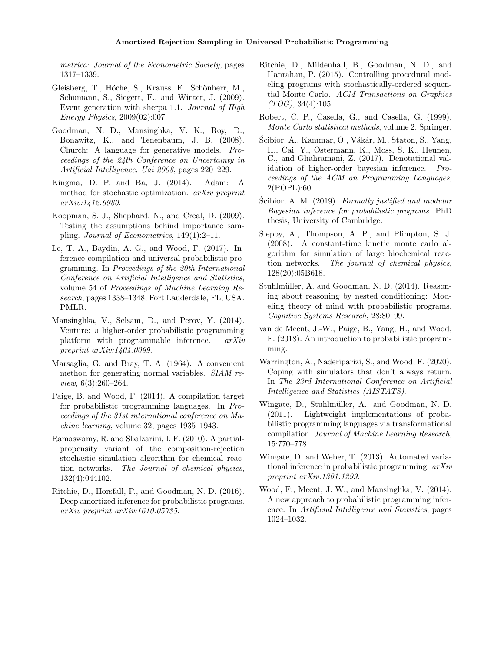metrica: Journal of the Econometric Society, pages 1317–1339.

- <span id="page-9-18"></span>Gleisberg, T., Höche, S., Krauss, F., Schönherr, M., Schumann, S., Siegert, F., and Winter, J. (2009). Event generation with sherpa 1.1. Journal of High Energy Physics, 2009(02):007.
- <span id="page-9-6"></span>Goodman, N. D., Mansinghka, V. K., Roy, D., Bonawitz, K., and Tenenbaum, J. B. (2008). Church: A language for generative models. Proceedings of the 24th Conference on Uncertainty in Artificial Intelligence, Uai 2008, pages 220–229.
- <span id="page-9-20"></span>Kingma, D. P. and Ba, J. (2014). Adam: A method for stochastic optimization. arXiv preprint arXiv:1412.6980.
- <span id="page-9-16"></span>Koopman, S. J., Shephard, N., and Creal, D. (2009). Testing the assumptions behind importance sampling. Journal of Econometrics, 149(1):2–11.
- <span id="page-9-13"></span>Le, T. A., Baydin, A. G., and Wood, F. (2017). Inference compilation and universal probabilistic programming. In Proceedings of the 20th International Conference on Artificial Intelligence and Statistics, volume 54 of Proceedings of Machine Learning Research, pages 1338–1348, Fort Lauderdale, FL, USA. PMLR.
- <span id="page-9-10"></span>Mansinghka, V., Selsam, D., and Perov, Y. (2014). Venture: a higher-order probabilistic programming platform with programmable inference. arXiv preprint arXiv:1404.0099.
- <span id="page-9-17"></span>Marsaglia, G. and Bray, T. A. (1964). A convenient method for generating normal variables. SIAM review, 6(3):260–264.
- <span id="page-9-19"></span>Paige, B. and Wood, F. (2014). A compilation target for probabilistic programming languages. In Proceedings of the 31st international conference on Machine learning, volume 32, pages 1935–1943.
- <span id="page-9-1"></span>Ramaswamy, R. and Sbalzarini, I. F. (2010). A partialpropensity variant of the composition-rejection stochastic simulation algorithm for chemical reaction networks. The Journal of chemical physics, 132(4):044102.
- <span id="page-9-12"></span>Ritchie, D., Horsfall, P., and Goodman, N. D. (2016). Deep amortized inference for probabilistic programs. arXiv preprint arXiv:1610.05735.
- <span id="page-9-5"></span>Ritchie, D., Mildenhall, B., Goodman, N. D., and Hanrahan, P. (2015). Controlling procedural modeling programs with stochastically-ordered sequential Monte Carlo. ACM Transactions on Graphics  $(TOG), 34(4):105.$
- <span id="page-9-15"></span>Robert, C. P., Casella, G., and Casella, G. (1999). Monte Carlo statistical methods, volume 2. Springer.
- <span id="page-9-14"></span>Ścibior, A., Kammar, O., Vákár, M., Staton, S., Yang, H., Cai, Y., Ostermann, K., Moss, S. K., Heunen, C., and Ghahramani, Z. (2017). Denotational validation of higher-order bayesian inference. Proceedings of the ACM on Programming Languages, 2(POPL):60.
- <span id="page-9-11"></span>Scibior, A. M.  $(2019)$ . Formally justified and modular Bayesian inference for probabilistic programs. PhD thesis, University of Cambridge.
- <span id="page-9-2"></span>Slepoy, A., Thompson, A. P., and Plimpton, S. J. (2008). A constant-time kinetic monte carlo algorithm for simulation of large biochemical reaction networks. The journal of chemical physics, 128(20):05B618.
- <span id="page-9-3"></span>Stuhlmüller, A. and Goodman, N. D. (2014). Reasoning about reasoning by nested conditioning: Modeling theory of mind with probabilistic programs. Cognitive Systems Research, 28:80–99.
- <span id="page-9-0"></span>van de Meent, J.-W., Paige, B., Yang, H., and Wood, F. (2018). An introduction to probabilistic programming.
- <span id="page-9-4"></span>Warrington, A., Naderiparizi, S., and Wood, F. (2020). Coping with simulators that don't always return. In The 23rd International Conference on Artificial Intelligence and Statistics (AISTATS).
- <span id="page-9-7"></span>Wingate, D., Stuhlmüller, A., and Goodman, N. D. (2011). Lightweight implementations of probabilistic programming languages via transformational compilation. Journal of Machine Learning Research, 15:770–778.
- <span id="page-9-9"></span>Wingate, D. and Weber, T. (2013). Automated variational inference in probabilistic programming. arXiv preprint arXiv:1301.1299.
- <span id="page-9-8"></span>Wood, F., Meent, J. W., and Mansinghka, V. (2014). A new approach to probabilistic programming inference. In Artificial Intelligence and Statistics, pages 1024–1032.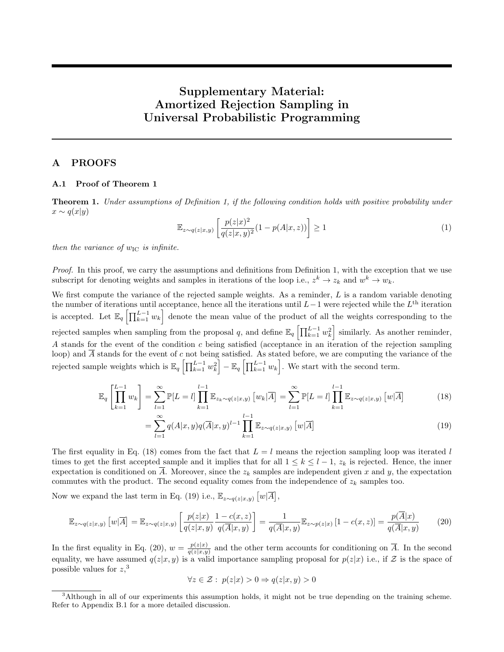# Supplementary Material: Amortized Rejection Sampling in Universal Probabilistic Programming

# A PROOFS

### <span id="page-10-0"></span>A.1 Proof of Theorem [1](#page-2-0)

Theorem 1. Under assumptions of Definition [1,](#page-1-1) if the following condition holds with positive probability under  $x \sim q(x|y)$ 

$$
\mathbb{E}_{z \sim q(z|x,y)} \left[ \frac{p(z|x)^2}{q(z|x,y)^2} (1 - p(A|x,z)) \right] \ge 1 \tag{1}
$$

then the variance of  $w_{\text{IC}}$  is infinite.

Proof. In this proof, we carry the assumptions and definitions from Definition [1,](#page-1-1) with the exception that we use subscript for denoting weights and samples in iterations of the loop i.e.,  $z^k \to z_k$  and  $w^k \to w_k$ .

We first compute the variance of the rejected sample weights. As a reminder,  $L$  is a random variable denoting the number of iterations until acceptance, hence all the iterations until  $L-1$  were rejected while the  $L^{\text{th}}$  iteration is accepted. Let  $\mathbb{E}_q \left[ \prod_{k=1}^{L-1} w_k \right]$  denote the mean value of the product of all the weights corresponding to the rejected samples when sampling from the proposal q, and define  $\mathbb{E}_q \left[ \prod_{k=1}^{L-1} w_k^2 \right]$  similarly. As another reminder, A stands for the event of the condition c being satisfied (acceptance in an iteration of the rejection sampling loop) and  $\overline{A}$  stands for the event of c not being satisfied. As stated before, we are computing the variance of the rejected sample weights which is  $\mathbb{E}_q \left[ \prod_{k=1}^{L-1} w_k^2 \right] - \mathbb{E}_q \left[ \prod_{k=1}^{L-1} w_k \right]$ . We start with the second term.

$$
\mathbb{E}_{q} \left[ \prod_{k=1}^{L-1} w_k \right] = \sum_{l=1}^{\infty} \mathbb{P}[L=l] \prod_{k=1}^{l-1} \mathbb{E}_{z_k \sim q(z|x,y)} \left[ w_k | \overline{A} \right] = \sum_{l=1}^{\infty} \mathbb{P}[L=l] \prod_{k=1}^{l-1} \mathbb{E}_{z \sim q(z|x,y)} \left[ w | \overline{A} \right]
$$
(18)

<span id="page-10-1"></span>
$$
= \sum_{l=1}^{\infty} q(A|x,y)q(\overline{A}|x,y)^{l-1} \prod_{k=1}^{l-1} \mathbb{E}_{z \sim q(z|x,y)} [w|\overline{A}]
$$
\n(19)

The first equality in Eq. [\(18\)](#page-10-1) comes from the fact that  $L = l$  means the rejection sampling loop was iterated l times to get the first accepted sample and it implies that for all  $1 \leq k \leq l-1$ ,  $z_k$  is rejected. Hence, the inner expectation is conditioned on  $\overline{A}$ . Moreover, since the  $z_k$  samples are independent given x and y, the expectation commutes with the product. The second equality comes from the independence of  $z_k$  samples too.

Now we expand the last term in Eq. [\(19\)](#page-10-2) i.e.,  $\mathbb{E}_{z \sim q(z|x,y)} [w|\overline{A}],$ 

<span id="page-10-3"></span>
$$
\mathbb{E}_{z \sim q(z|x,y)} \left[ w|\overline{A} \right] = \mathbb{E}_{z \sim q(z|x,y)} \left[ \frac{p(z|x)}{q(z|x,y)} \frac{1 - c(x,z)}{q(\overline{A}|x,y)} \right] = \frac{1}{q(\overline{A}|x,y)} \mathbb{E}_{z \sim p(z|x)} \left[ 1 - c(x,z) \right] = \frac{p(\overline{A}|x)}{q(\overline{A}|x,y)} \tag{20}
$$

In the first equality in Eq. [\(20\)](#page-10-3),  $w = \frac{p(z|x)}{q(z|x,y)}$  $\frac{p(z|x)}{q(z|x,y)}$  and the other term accounts for conditioning on A. In the second equality, we have assumed  $q(z|x, y)$  is a valid importance sampling proposal for  $p(z|x)$  i.e., if Z is the space of possible values for  $z$ <sup>[3](#page-10-4)</sup>,

<span id="page-10-2"></span>
$$
\forall z\in\mathcal{Z}:\ p(z|x)>0\Rightarrow q(z|x,y)>0
$$

<span id="page-10-4"></span><sup>3</sup>Although in all of our experiments this assumption holds, it might not be true depending on the training scheme. Refer to Appendix [B.1](#page-11-3) for a more detailed discussion.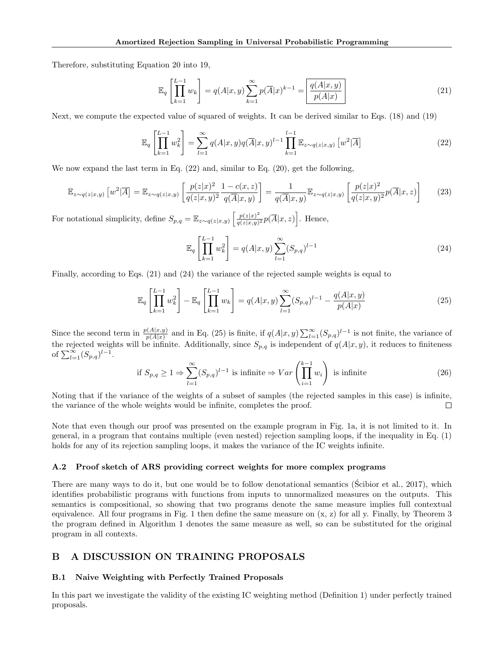Therefore, substituting Equation [20](#page-10-3) into [19,](#page-10-2)

<span id="page-11-0"></span>
$$
\mathbb{E}_{q} \left[ \prod_{k=1}^{L-1} w_k \right] = q(A|x, y) \sum_{k=1}^{\infty} p(\overline{A}|x)^{k-1} = \boxed{\frac{q(A|x, y)}{p(A|x)}} \tag{21}
$$

Next, we compute the expected value of squared of weights. It can be derived similar to Eqs. [\(18\)](#page-10-1) and [\(19\)](#page-10-2)

<span id="page-11-4"></span>
$$
\mathbb{E}_{q}\left[\prod_{k=1}^{L-1} w_{k}^{2}\right] = \sum_{l=1}^{\infty} q(A|x,y)q(\overline{A}|x,y)^{l-1} \prod_{k=1}^{l-1} \mathbb{E}_{z \sim q(z|x,y)}\left[w^{2}|\overline{A}\right]
$$
\n(22)

We now expand the last term in Eq. [\(22\)](#page-11-4) and, similar to Eq. [\(20\)](#page-10-3), get the following,

$$
\mathbb{E}_{z \sim q(z|x,y)}\left[w^2|\overline{A}\right] = \mathbb{E}_{z \sim q(z|x,y)}\left[\frac{p(z|x)^2}{q(z|x,y)^2}\frac{1 - c(x,z)}{q(\overline{A}|x,y)}\right] = \frac{1}{q(\overline{A}|x,y)}\mathbb{E}_{z \sim q(z|x,y)}\left[\frac{p(z|x)^2}{q(z|x,y)^2}p(\overline{A}|x,z)\right] \tag{23}
$$

For notational simplicity, define  $S_{p,q} = \mathbb{E}_{z \sim q(z|x,y)} \left[ \frac{p(z|x)^2}{q(z|x,y)} \right]$  $\frac{p(z|x)^2}{q(z|x,y)^2} p(\overline{A}|x,z)$ . Hence,

<span id="page-11-5"></span>
$$
\mathbb{E}_q \left[ \prod_{k=1}^{L-1} w_k^2 \right] = q(A|x, y) \sum_{l=1}^{\infty} (S_{p,q})^{l-1}
$$
\n(24)

Finally, according to Eqs. [\(21\)](#page-11-0) and [\(24\)](#page-11-5) the variance of the rejected sample weights is equal to

<span id="page-11-6"></span>
$$
\mathbb{E}_q \left[ \prod_{k=1}^{L-1} w_k^2 \right] - \mathbb{E}_q \left[ \prod_{k=1}^{L-1} w_k \right] = q(A|x, y) \sum_{l=1}^{\infty} (S_{p,q})^{l-1} - \frac{q(A|x, y)}{p(A|x)} \tag{25}
$$

Since the second term in  $\frac{p(A|x,y)}{p(A|x)}$  and in Eq. [\(25\)](#page-11-6) is finite, if  $q(A|x,y) \sum_{l=1}^{\infty} (S_{p,q})^{l-1}$  is not finite, the variance of the rejected weights will be infinite. Additionally, since  $S_{p,q}$  is independent of  $q(A|x,y)$ , it reduces to finiteness of  $\sum_{l=1}^{\infty} (S_{p,q})^{l-1}$ .

if 
$$
S_{p,q} \ge 1 \Rightarrow \sum_{l=1}^{\infty} (S_{p,q})^{l-1}
$$
 is infinite  $\Rightarrow Var\left(\prod_{i=1}^{k-1} w_i\right)$  is infinite (26)

Noting that if the variance of the weights of a subset of samples (the rejected samples in this case) is infinite, the variance of the whole weights would be infinite, completes the proof.  $\Box$ 

Note that even though our proof was presented on the example program in Fig. [1a,](#page-1-0) it is not limited to it. In general, in a program that contains multiple (even nested) rejection sampling loops, if the inequality in Eq. [\(1\)](#page-2-1) holds for any of its rejection sampling loops, it makes the variance of the IC weights infinite.

### <span id="page-11-2"></span>A.2 Proof sketch of ARS providing correct weights for more complex programs

There are many ways to do it, but one would be to follow denotational semantics [\(Scibior et al., 2017\)](#page-9-14), which identifies probabilistic programs with functions from inputs to unnormalized measures on the outputs. This semantics is compositional, so showing that two programs denote the same measure implies full contextual equivalence. All four programs in Fig. [1](#page-1-0) then define the same measure on  $(x, z)$  for all y. Finally, by Theorem [3](#page-3-0) the program defined in Algorithm [1](#page-3-1) denotes the same measure as well, so can be substituted for the original program in all contexts.

# <span id="page-11-1"></span>B A DISCUSSION ON TRAINING PROPOSALS

#### <span id="page-11-3"></span>B.1 Naive Weighting with Perfectly Trained Proposals

In this part we investigate the validity of the existing IC weighting method (Definition [1\)](#page-1-1) under perfectly trained proposals.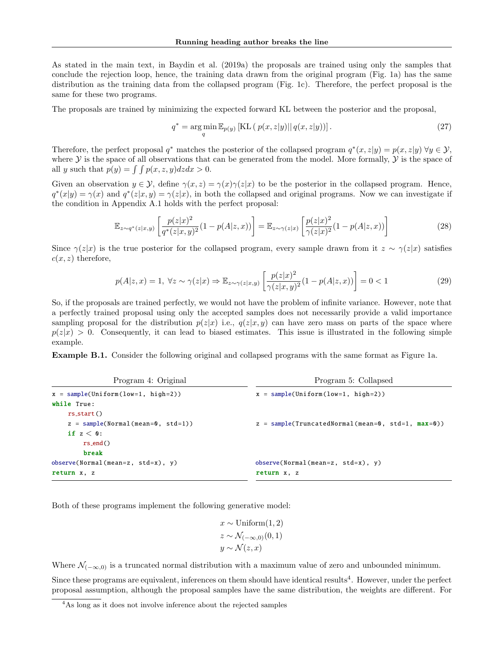As stated in the main text, in [Baydin et al.](#page-8-0) [\(2019a\)](#page-8-0) the proposals are trained using only the samples that conclude the rejection loop, hence, the training data drawn from the original program (Fig. [1a\)](#page-1-0) has the same distribution as the training data from the collapsed program (Fig. [1c\)](#page-1-0). Therefore, the perfect proposal is the same for these two programs.

The proposals are trained by minimizing the expected forward KL between the posterior and the proposal,

$$
q^* = \underset{q}{\arg\min} \mathbb{E}_{p(y)} \left[ \text{KL} \left( \left. p(x, z|y) \right) \right| q(x, z|y) \right]. \tag{27}
$$

Therefore, the perfect proposal  $q^*$  matches the posterior of the collapsed program  $q^*(x, z|y) = p(x, z|y) \,\forall y \in \mathcal{Y}$ , where  $\mathcal Y$  is the space of all observations that can be generated from the model. More formally,  $\mathcal Y$  is the space of all y such that  $p(y) = \int \int p(x, z, y) dz dx > 0$ .

Given an observation  $y \in \mathcal{Y}$ , define  $\gamma(x, z) = \gamma(x)\gamma(z|x)$  to be the posterior in the collapsed program. Hence,  $q^*(x|y) = \gamma(x)$  and  $q^*(z|x,y) = \gamma(z|x)$ , in both the collapsed and original programs. Now we can investigate if the condition in Appendix [A.1](#page-10-0) holds with the perfect proposal:

$$
\mathbb{E}_{z \sim q^*(z|x,y)} \left[ \frac{p(z|x)^2}{q^*(z|x,y)^2} (1 - p(A|z,x)) \right] = \mathbb{E}_{z \sim \gamma(z|x)} \left[ \frac{p(z|x)^2}{\gamma(z|x)^2} (1 - p(A|z,x)) \right] \tag{28}
$$

Since  $\gamma(z|x)$  is the true posterior for the collapsed program, every sample drawn from it  $z \sim \gamma(z|x)$  satisfies  $c(x, z)$  therefore,

$$
p(A|z,x) = 1, \ \forall z \sim \gamma(z|x) \Rightarrow \mathbb{E}_{z \sim \gamma(z|x,y)} \left[ \frac{p(z|x)^2}{\gamma(z|x,y)^2} (1 - p(A|z,x)) \right] = 0 < 1 \tag{29}
$$

So, if the proposals are trained perfectly, we would not have the problem of infinite variance. However, note that a perfectly trained proposal using only the accepted samples does not necessarily provide a valid importance sampling proposal for the distribution  $p(z|x)$  i.e.,  $q(z|x, y)$  can have zero mass on parts of the space where  $p(z|x) > 0$ . Consequently, it can lead to biased estimates. This issue is illustrated in the following simple example.

Example B.1. Consider the following original and collapsed programs with the same format as Figure [1a.](#page-1-0)

| Program 4: Original                     | Program 5: Collapsed                                |
|-----------------------------------------|-----------------------------------------------------|
| $x = sample(Uniform(low=1, high=2))$    | $x = sample(Uniform(low=1, high=2))$                |
| while True:                             |                                                     |
| $rs_start()$                            |                                                     |
| $z = sample(Normal(mean=0, std=1))$     | $z = sample(TruncatedNormal(mean=0, std=1, max=0))$ |
| if $z < 0$ :                            |                                                     |
| $rs$ -end()                             |                                                     |
| break                                   |                                                     |
| $observe(Normal(mean = z, std = x), y)$ | $observe(Normal(mean = z, std = x), y)$             |
| return x, z                             | return x, z                                         |

Both of these programs implement the following generative model:

$$
x \sim \text{Uniform}(1, 2)
$$

$$
z \sim \mathcal{N}_{(-\infty, 0)}(0, 1)
$$

$$
y \sim \mathcal{N}(z, x)
$$

Where  $\mathcal{N}_{(-\infty,0)}$  is a truncated normal distribution with a maximum value of zero and unbounded minimum.

Since these programs are equivalent, inferences on them should have identical results<sup>[4](#page-12-0)</sup>. However, under the perfect proposal assumption, although the proposal samples have the same distribution, the weights are different. For

<span id="page-12-0"></span><sup>&</sup>lt;sup>4</sup>As long as it does not involve inference about the rejected samples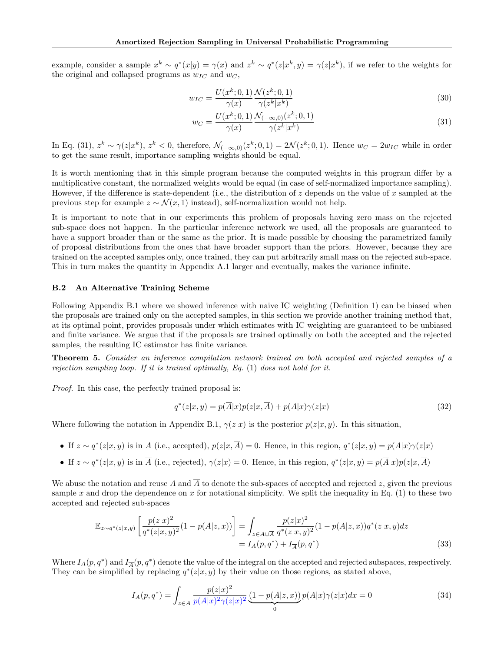example, consider a sample  $x^k \sim q^*(x|y) = \gamma(x)$  and  $z^k \sim q^*(z|x^k, y) = \gamma(z|x^k)$ , if we refer to the weights for the original and collapsed programs as  $w_{IC}$  and  $w_C$ ,

$$
w_{IC} = \frac{U(x^k; 0, 1)}{\gamma(x)} \frac{\mathcal{N}(z^k; 0, 1)}{\gamma(z^k | x^k)}
$$
(30)

<span id="page-13-0"></span>
$$
w_C = \frac{U(x^k; 0, 1)}{\gamma(x)} \frac{\mathcal{N}_{(-\infty, 0)}(z^k; 0, 1)}{\gamma(z^k | x^k)}
$$
(31)

In Eq. [\(31\)](#page-13-0),  $z^k \sim \gamma(z|x^k)$ ,  $z^k < 0$ , therefore,  $\mathcal{N}_{(-\infty,0)}(z^k;0,1) = 2\mathcal{N}(z^k;0,1)$ . Hence  $w_C = 2w_{IC}$  while in order to get the same result, importance sampling weights should be equal.

It is worth mentioning that in this simple program because the computed weights in this program differ by a multiplicative constant, the normalized weights would be equal (in case of self-normalized importance sampling). However, if the difference is state-dependent (i.e., the distribution of z depends on the value of x sampled at the previous step for example  $z \sim \mathcal{N}(x, 1)$  instead), self-normalization would not help.

It is important to note that in our experiments this problem of proposals having zero mass on the rejected sub-space does not happen. In the particular inference network we used, all the proposals are guaranteed to have a support broader than or the same as the prior. It is made possible by choosing the parametrized family of proposal distributions from the ones that have broader support than the priors. However, because they are trained on the accepted samples only, once trained, they can put arbitrarily small mass on the rejected sub-space. This in turn makes the quantity in Appendix [A.1](#page-10-0) larger and eventually, makes the variance infinite.

### B.2 An Alternative Training Scheme

Following Appendix [B.1](#page-11-3) where we showed inference with naive IC weighting (Definition [1\)](#page-1-1) can be biased when the proposals are trained only on the accepted samples, in this section we provide another training method that, at its optimal point, provides proposals under which estimates with IC weighting are guaranteed to be unbiased and finite variance. We argue that if the proposals are trained optimally on both the accepted and the rejected samples, the resulting IC estimator has finite variance.

Theorem 5. Consider an inference compilation network trained on both accepted and rejected samples of a rejection sampling loop. If it is trained optimally, Eq.  $(1)$  does not hold for it.

Proof. In this case, the perfectly trained proposal is:

$$
q^*(z|x,y) = p(\overline{A}|x)p(z|x,\overline{A}) + p(A|x)\gamma(z|x)
$$
\n(32)

Where following the notation in Appendix [B.1,](#page-11-3)  $\gamma(z|x)$  is the posterior  $p(z|x, y)$ . In this situation,

- If  $z \sim q^*(z|x, y)$  is in A (i.e., accepted),  $p(z|x, A) = 0$ . Hence, in this region,  $q^*(z|x, y) = p(A|x)\gamma(z|x)$
- If  $z \sim q^*(z|x, y)$  is in A (i.e., rejected),  $\gamma(z|x) = 0$ . Hence, in this region,  $q^*(z|x, y) = p(A|x)p(z|x, A)$

We abuse the notation and reuse A and  $\overline{A}$  to denote the sub-spaces of accepted and rejected z, given the previous sample x and drop the dependence on x for notational simplicity. We split the inequality in Eq. [\(1\)](#page-2-1) to these two accepted and rejected sub-spaces

$$
\mathbb{E}_{z \sim q^*(z|x,y)} \left[ \frac{p(z|x)^2}{q^*(z|x,y)^2} (1 - p(A|z,x)) \right] = \int_{z \in A \cup \overline{A}} \frac{p(z|x)^2}{q^*(z|x,y)^2} (1 - p(A|z,x)) q^*(z|x,y) dz
$$
  
=  $I_A(p,q^*) + I_{\overline{A}}(p,q^*)$  (33)

Where  $I_A(p,q^*)$  and  $I_{\overline{A}}(p,q^*)$  denote the value of the integral on the accepted and rejected subspaces, respectively. They can be simplified by replacing  $q^*(z|x,y)$  by their value on those regions, as stated above,

$$
I_A(p,q^*) = \int_{z \in A} \frac{p(z|x)^2}{p(A|x)^2 \gamma(z|x)^2} \underbrace{(1 - p(A|z,x))}_{0} p(A|x) \gamma(z|x) dx = 0
$$
\n(34)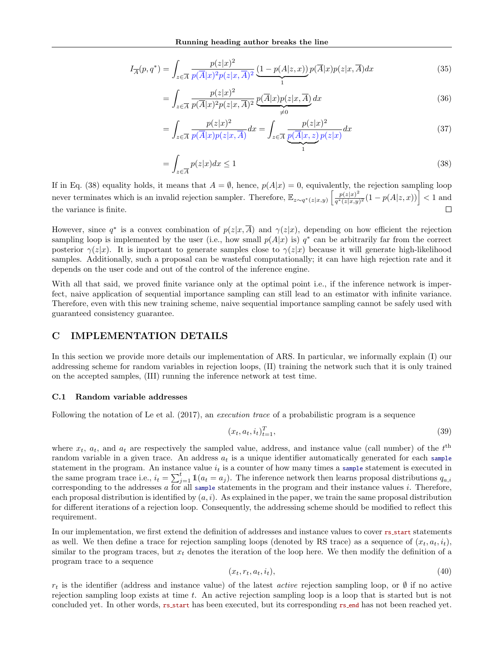$$
I_{\overline{A}}(p,q^*) = \int_{z \in \overline{A}} \frac{p(z|x)^2}{p(\overline{A}|x)^2 p(z|x,\overline{A})^2} \underbrace{(1 - p(A|z,x))}_{1} p(\overline{A}|x) p(z|x,\overline{A}) dx
$$
\n(35)

$$
= \int_{z \in \overline{A}} \frac{p(z|x)^2}{p(\overline{A}|x)^2 p(z|x,\overline{A})^2} \underbrace{p(\overline{A}|x) p(z|x,\overline{A})}_{\neq 0} dx
$$
\n(36)

$$
=\int_{z\in\overline{A}}\frac{p(z|x)^2}{p(\overline{A}|x)p(z|x,\overline{A})}dx=\int_{z\in\overline{A}}\underbrace{\frac{p(z|x)^2}{p(\overline{A}|x,z)p(z|x)}}dx
$$
\n(37)

<span id="page-14-1"></span>
$$
=\int_{z\in\overline{A}}p(z|x)dx\leq 1\tag{38}
$$

If in Eq. [\(38\)](#page-14-1) equality holds, it means that  $A = \emptyset$ , hence,  $p(A|x) = 0$ , equivalently, the rejection sampling loop never terminates which is an invalid rejection sampler. Therefore,  $\mathbb{E}_{z \sim q^*(z|x,y)} \left[ \frac{p(z|x)^2}{q^*(z|x,y)} \right]$  $\frac{p(z|x)^2}{q^*(z|x,y)^2}(1-p(A|z,x))$  < 1 and  $\Box$ the variance is finite.

However, since  $q^*$  is a convex combination of  $p(z|x, A)$  and  $\gamma(z|x)$ , depending on how efficient the rejection sampling loop is implemented by the user (i.e., how small  $p(A|x)$  is)  $q^*$  can be arbitrarily far from the correct posterior  $\gamma(z|x)$ . It is important to generate samples close to  $\gamma(z|x)$  because it will generate high-likelihood samples. Additionally, such a proposal can be wasteful computationally; it can have high rejection rate and it depends on the user code and out of the control of the inference engine.

With all that said, we proved finite variance only at the optimal point i.e., if the inference network is imperfect, naive application of sequential importance sampling can still lead to an estimator with infinite variance. Therefore, even with this new training scheme, naive sequential importance sampling cannot be safely used with guaranteed consistency guarantee.

# <span id="page-14-0"></span>C IMPLEMENTATION DETAILS

In this section we provide more details our implementation of ARS. In particular, we informally explain (I) our addressing scheme for random variables in rejection loops, (II) training the network such that it is only trained on the accepted samples, (III) running the inference network at test time.

#### C.1 Random variable addresses

Following the notation of [Le et al.](#page-9-13) [\(2017\)](#page-9-13), an *execution trace* of a probabilistic program is a sequence

$$
(x_t, a_t, i_t)_{t=1}^T,\tag{39}
$$

where  $x_t$ ,  $a_t$ , and  $a_t$  are respectively the sampled value, address, and instance value (call number) of the  $t<sup>th</sup>$ random variable in a given trace. An address  $a_t$  is a unique identifier automatically generated for each sample statement in the program. An instance value  $i_t$  is a counter of how many times a sample statement is executed in the same program trace i.e.,  $i_t = \sum_{j=1}^t \pmb{1}(a_t = a_j)$ . The inference network then learns proposal distributions  $q_{a,i}$ corresponding to the addresses  $a$  for all sample statements in the program and their instance values  $i$ . Therefore, each proposal distribution is identified by  $(a, i)$ . As explained in the paper, we train the same proposal distribution for different iterations of a rejection loop. Consequently, the addressing scheme should be modified to reflect this requirement.

In our implementation, we first extend the definition of addresses and instance values to cover rs start statements as well. We then define a trace for rejection sampling loops (denoted by RS trace) as a sequence of  $(x_t, a_t, i_t)$ , similar to the program traces, but  $x_t$  denotes the iteration of the loop here. We then modify the definition of a program trace to a sequence

$$
(x_t, r_t, a_t, i_t), \tag{40}
$$

 $r_t$  is the identifier (address and instance value) of the latest *active* rejection sampling loop, or  $\emptyset$  if no active rejection sampling loop exists at time t. An active rejection sampling loop is a loop that is started but is not concluded yet. In other words, rs start has been executed, but its corresponding rs end has not been reached yet.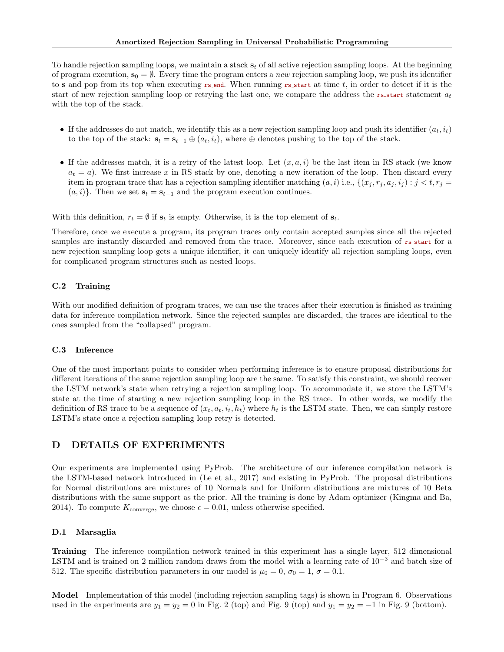To handle rejection sampling loops, we maintain a stack  $s_t$  of all active rejection sampling loops. At the beginning of program execution,  $s_0 = \emptyset$ . Every time the program enters a new rejection sampling loop, we push its identifier to s and pop from its top when executing rs end. When running rs start at time t, in order to detect if it is the start of new rejection sampling loop or retrying the last one, we compare the address the rs\_start statement  $a_t$ with the top of the stack.

- If the addresses do not match, we identify this as a new rejection sampling loop and push its identifier  $(a_t, i_t)$ to the top of the stack:  $\mathbf{s}_t = \mathbf{s}_{t-1} \oplus (a_t, i_t)$ , where  $\oplus$  denotes pushing to the top of the stack.
- If the addresses match, it is a retry of the latest loop. Let  $(x, a, i)$  be the last item in RS stack (we know  $a_t = a$ ). We first increase x in RS stack by one, denoting a new iteration of the loop. Then discard every item in program trace that has a rejection sampling identifier matching  $(a, i)$  i.e.,  $\{(x_i, r_i, a_i, i_j) : j < t, r_i =$  $(a, i)$ . Then we set  $s_t = s_{t-1}$  and the program execution continues.

With this definition,  $r_t = \emptyset$  if  $s_t$  is empty. Otherwise, it is the top element of  $s_t$ .

Therefore, once we execute a program, its program traces only contain accepted samples since all the rejected samples are instantly discarded and removed from the trace. Moreover, since each execution of rs\_start for a new rejection sampling loop gets a unique identifier, it can uniquely identify all rejection sampling loops, even for complicated program structures such as nested loops.

# C.2 Training

With our modified definition of program traces, we can use the traces after their execution is finished as training data for inference compilation network. Since the rejected samples are discarded, the traces are identical to the ones sampled from the "collapsed" program.

### C.3 Inference

One of the most important points to consider when performing inference is to ensure proposal distributions for different iterations of the same rejection sampling loop are the same. To satisfy this constraint, we should recover the LSTM network's state when retrying a rejection sampling loop. To accommodate it, we store the LSTM's state at the time of starting a new rejection sampling loop in the RS trace. In other words, we modify the definition of RS trace to be a sequence of  $(x_t, a_t, i_t, h_t)$  where  $h_t$  is the LSTM state. Then, we can simply restore LSTM's state once a rejection sampling loop retry is detected.

# D DETAILS OF EXPERIMENTS

Our experiments are implemented using PyProb. The architecture of our inference compilation network is the LSTM-based network introduced in [\(Le et al., 2017\)](#page-9-13) and existing in PyProb. The proposal distributions for Normal distributions are mixtures of 10 Normals and for Uniform distributions are mixtures of 10 Beta distributions with the same support as the prior. All the training is done by Adam optimizer [\(Kingma and Ba,](#page-9-20) [2014\)](#page-9-20). To compute  $K_{\text{converge}}$ , we choose  $\epsilon = 0.01$ , unless otherwise specified.

### <span id="page-15-0"></span>D.1 Marsaglia

Training The inference compilation network trained in this experiment has a single layer, 512 dimensional LSTM and is trained on 2 million random draws from the model with a learning rate of 10−<sup>3</sup> and batch size of 512. The specific distribution parameters in our model is  $\mu_0 = 0$ ,  $\sigma_0 = 1$ ,  $\sigma = 0.1$ .

Model Implementation of this model (including rejection sampling tags) is shown in Program [6.](#page-16-0) Observations used in the experiments are  $y_1 = y_2 = 0$  in Fig. [2](#page-5-0) (top) and Fig. [9](#page-19-1) (top) and  $y_1 = y_2 = -1$  in Fig. 9 (bottom).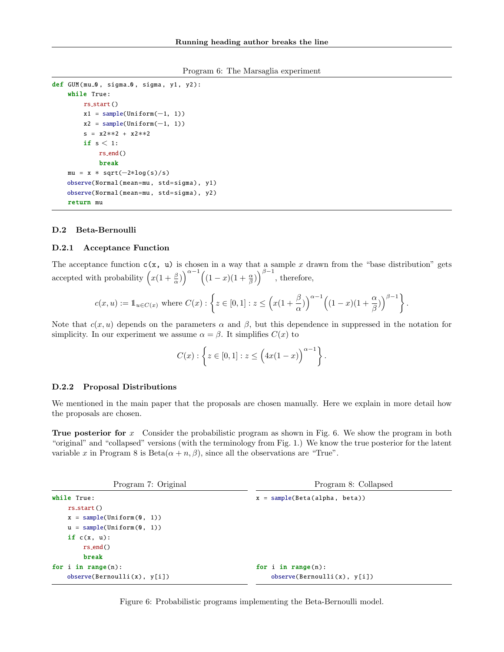Program 6: The Marsaglia experiment

```
def GUM(mu_0, sigma_0, sigma, y1, y2):
    while True:
        rs_start()
        x1 = sample(Uniform(-1, 1))x2 = sample(Uniform(-1, 1))s = x2∗∗2 + x2∗∗2
        if s < 1:
            rs end()
            break
    mu = x * sqrt(-2 * log(s) / s)observe(Normal(mean=mu , std=sigma), y1)
    observe(Normal(mean=mu , std=sigma), y2)
    return mu
```
### D.2 Beta-Bernoulli

#### D.2.1 Acceptance Function

The acceptance function  $c(x, u)$  is chosen in a way that a sample x drawn from the "base distribution" gets accepted with probability  $\left(x(1+\frac{\beta}{\alpha})\right)^{\alpha-1}\left((1-x)(1+\frac{\alpha}{\beta})\right)^{\beta-1}$ , therefore,

$$
c(x,u):= \mathbb{1}_{u\in C(x)} \text{ where } C(x): \left\{z\in [0,1]: z\leq \Big(x(1+\frac{\beta}{\alpha})\Big)^{\alpha-1}\Big((1-x)(1+\frac{\alpha}{\beta})\Big)^{\beta-1}\right\}.
$$

Note that  $c(x, u)$  depends on the parameters  $\alpha$  and  $\beta$ , but this dependence in suppressed in the notation for simplicity. In our experiment we assume  $\alpha = \beta$ . It simplifies  $C(x)$  to

<span id="page-16-2"></span>
$$
C(x): \left\{ z \in [0,1] : z \leq \left(4x(1-x)\right)^{\alpha-1} \right\}.
$$

#### D.2.2 Proposal Distributions

We mentioned in the main paper that the proposals are chosen manually. Here we explain in more detail how the proposals are chosen.

**True posterior for** x Consider the probabilistic program as shown in Fig. [6.](#page-16-1) We show the program in both "original" and "collapsed" versions (with the terminology from Fig. [1.](#page-1-0)) We know the true posterior for the latent variable x in Program [8](#page-16-2) is Beta $(\alpha + n, \beta)$ , since all the observations are "True".

<span id="page-16-3"></span><span id="page-16-1"></span>

| Program 7: Original         | Program 8: Collapsed            |  |  |  |
|-----------------------------|---------------------------------|--|--|--|
| while True:                 | $x = sample(Beta(alpha, beta))$ |  |  |  |
| rs.start()                  |                                 |  |  |  |
| $x = sample(Uniform(0, 1))$ |                                 |  |  |  |
| $u = sample(Uniform(0, 1))$ |                                 |  |  |  |
| if $c(x, u)$ :              |                                 |  |  |  |
| $rs\_end()$                 |                                 |  |  |  |
| break                       |                                 |  |  |  |
| for $i$ in range $(n)$ :    | for $i$ in range $(n)$ :        |  |  |  |
| observe(Bernoulli(x), y[i]) | observe(Bernoulli(x), y[i])     |  |  |  |

Figure 6: Probabilistic programs implementing the Beta-Bernoulli model.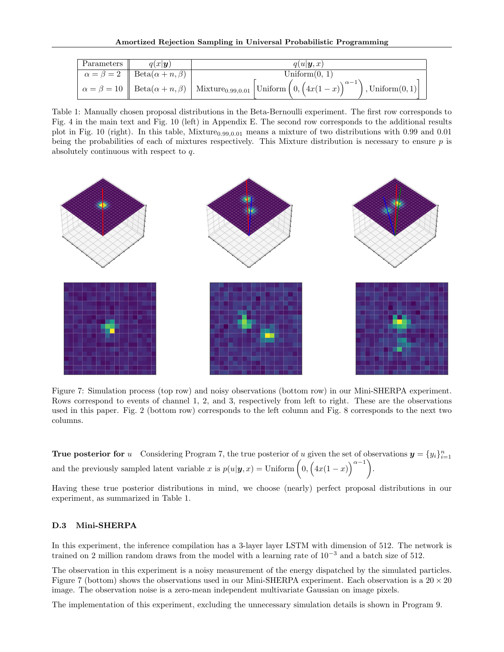<span id="page-17-0"></span>

| Parameters | $q(x \mathbf{y})$                                 | $q(u \boldsymbol{y},x)$                                                                                                                                                                                                                                   |  |  |  |
|------------|---------------------------------------------------|-----------------------------------------------------------------------------------------------------------------------------------------------------------------------------------------------------------------------------------------------------------|--|--|--|
|            | $\alpha = \beta = 2$   Beta $(\alpha + n, \beta)$ | Uniform $(0, 1)$                                                                                                                                                                                                                                          |  |  |  |
|            |                                                   | $\begin{array}{c} \left\vert \ \alpha=\beta=10 \ \right\vert \ \text{Beta}(\alpha+n,\beta) \ \left\vert \ \text{Mixture}_{0.99,0.01} \ \left\vert \text{Uniform} \left(0,\left(4x(1-x)\right)\right)\right.\end{array}$<br>$\vert$ , Uniform $(0,1)\vert$ |  |  |  |

Table 1: Manually chosen proposal distributions in the Beta-Bernoulli experiment. The first row corresponds to Fig. [4](#page-6-2) in the main text and Fig. [10](#page-20-1) (left) in Appendix [E.](#page-19-0) The second row corresponds to the additional results plot in Fig. [10](#page-20-1) (right). In this table, Mixture $_{0.99,0.01}$  means a mixture of two distributions with 0.99 and 0.01 being the probabilities of each of mixtures respectively. This Mixture distribution is necessary to ensure  $p$  is absolutely continuous with respect to q.

<span id="page-17-1"></span>

Figure 7: Simulation process (top row) and noisy observations (bottom row) in our Mini-SHERPA experiment. Rows correspond to events of channel 1, 2, and 3, respectively from left to right. These are the observations used in this paper. Fig. [2](#page-5-0) (bottom row) corresponds to the left column and Fig. [8](#page-18-0) corresponds to the next two columns.

**True posterior for** u Considering Program [7,](#page-16-3) the true posterior of u given the set of observations  $y = \{y_i\}_{i=1}^n$ and the previously sampled latent variable x is  $p(u|\mathbf{y},x) =$  Uniform  $(0, (4x(1-x))^{\alpha-1})$ .

Having these true posterior distributions in mind, we choose (nearly) perfect proposal distributions in our experiment, as summarized in Table [1.](#page-17-0)

### D.3 Mini-SHERPA

In this experiment, the inference compilation has a 3-layer layer LSTM with dimension of 512. The network is trained on 2 million random draws from the model with a learning rate of  $10^{-3}$  and a batch size of 512.

The observation in this experiment is a noisy measurement of the energy dispatched by the simulated particles. Figure [7](#page-17-1) (bottom) shows the observations used in our Mini-SHERPA experiment. Each observation is a  $20 \times 20$ image. The observation noise is a zero-mean independent multivariate Gaussian on image pixels.

The implementation of this experiment, excluding the unnecessary simulation details is shown in Program [9.](#page-18-1)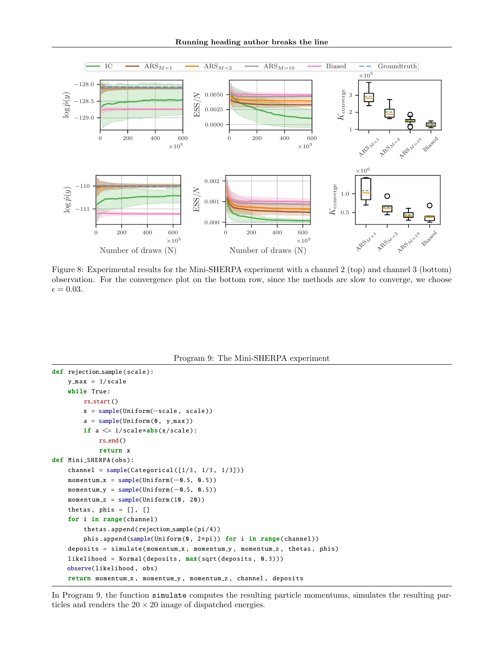Running heading author breaks the line

<span id="page-18-0"></span>

Figure 8: Experimental results for the Mini-SHERPA experiment with a channel 2 (top) and channel 3 (bottom) observation. For the convergence plot on the bottom row, since the methods are slow to converge, we choose  $\epsilon = 0.03.$ 



```
def rejection_sample(scale):
    y_max = 1/scalewhile True:
        rs_start()
        x = sample(Uniform(−scale , scale ))
        a = sample(Uniform(0, y_max))if a \leq 1/\text{scale*abs}(x/\text{scale}):rs end()
            return x
def Mini SHERPA (obs ):
    channel = sample(Categorical([1/3, 1/3, 1/3]))
    momentum_x = sample(Uniform(-0.5, 0.5))momentum y = sample(Uniform(−0.5, 0.5))
    momentum_z = sample(Uniform(10, 20))thetas, phis = [], []for i in range(channel)
        thetas.append(rejection_sample(pi/4))
        phis.append(sample(Uniform (0, 2*pi)) for i in range(channel))
    deposits = simulate(momentum_x, momentum_y, momentum_z, thetas, phis)
    likelihood = Normal(deposits, max(sqrt(deposits, 0.3)))observe(likelihood , obs)
    return momentum_x, momentum_y, momentum_z, channel, deposits
```
In Program [9,](#page-18-1) the function simulate computes the resulting particle momentums, simulates the resulting particles and renders the  $20 \times 20$  image of dispatched energies.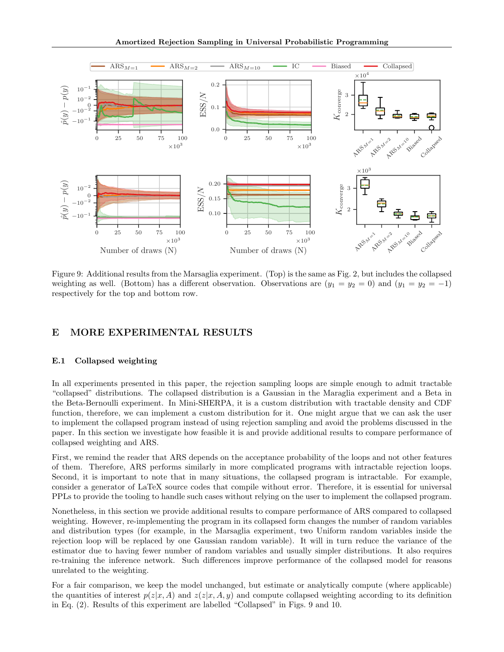<span id="page-19-1"></span>

Figure 9: Additional results from the Marsaglia experiment. (Top) is the same as Fig. [2,](#page-5-0) but includes the collapsed weighting as well. (Bottom) has a different observation. Observations are  $(y_1 = y_2 = 0)$  and  $(y_1 = y_2 = -1)$ respectively for the top and bottom row.

# <span id="page-19-0"></span>E MORE EXPERIMENTAL RESULTS

### E.1 Collapsed weighting

In all experiments presented in this paper, the rejection sampling loops are simple enough to admit tractable "collapsed" distributions. The collapsed distribution is a Gaussian in the Maraglia experiment and a Beta in the Beta-Bernoulli experiment. In Mini-SHERPA, it is a custom distribution with tractable density and CDF function, therefore, we can implement a custom distribution for it. One might argue that we can ask the user to implement the collapsed program instead of using rejection sampling and avoid the problems discussed in the paper. In this section we investigate how feasible it is and provide additional results to compare performance of collapsed weighting and ARS.

First, we remind the reader that ARS depends on the acceptance probability of the loops and not other features of them. Therefore, ARS performs similarly in more complicated programs with intractable rejection loops. Second, it is important to note that in many situations, the collapsed program is intractable. For example, consider a generator of LaTeX source codes that compile without error. Therefore, it is essential for universal PPLs to provide the tooling to handle such cases without relying on the user to implement the collapsed program.

Nonetheless, in this section we provide additional results to compare performance of ARS compared to collapsed weighting. However, re-implementing the program in its collapsed form changes the number of random variables and distribution types (for example, in the Marsaglia experiment, two Uniform random variables inside the rejection loop will be replaced by one Gaussian random variable). It will in turn reduce the variance of the estimator due to having fewer number of random variables and usually simpler distributions. It also requires re-training the inference network. Such differences improve performance of the collapsed model for reasons unrelated to the weighting.

For a fair comparison, we keep the model unchanged, but estimate or analytically compute (where applicable) the quantities of interest  $p(z|x, A)$  and  $z(z|x, A, y)$  and compute collapsed weighting according to its definition in Eq. [\(2\)](#page-2-2). Results of this experiment are labelled "Collapsed" in Figs. [9](#page-19-1) and [10.](#page-20-1)